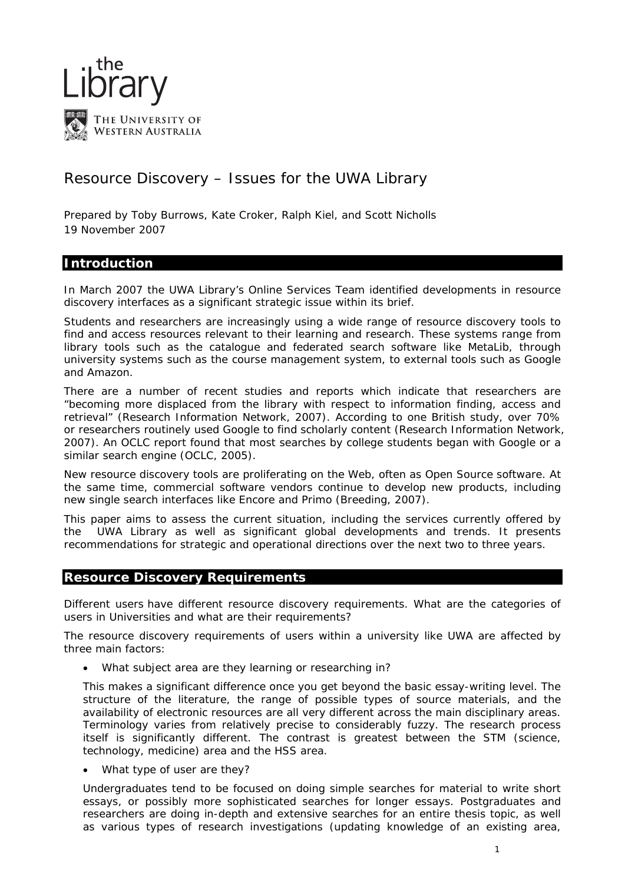

# Resource Discovery – Issues for the UWA Library

Prepared by Toby Burrows, Kate Croker, Ralph Kiel, and Scott Nicholls 19 November 2007

# **Introduction**

In March 2007 the UWA Library's Online Services Team identified developments in resource discovery interfaces as a significant strategic issue within its brief.

Students and researchers are increasingly using a wide range of resource discovery tools to find and access resources relevant to their learning and research. These systems range from library tools such as the catalogue and federated search software like MetaLib, through university systems such as the course management system, to external tools such as Google and Amazon.

There are a number of recent studies and reports which indicate that researchers are "becoming more displaced from the library with respect to information finding, access and retrieval" (Research Information Network, 2007). According to one British study, over 70% or researchers routinely used Google to find scholarly content (Research Information Network, 2007). An OCLC report found that most searches by college students began with Google or a similar search engine (OCLC, 2005).

New resource discovery tools are proliferating on the Web, often as Open Source software. At the same time, commercial software vendors continue to develop new products, including new single search interfaces like Encore and Primo (Breeding, 2007).

This paper aims to assess the current situation, including the services currently offered by the UWA Library as well as significant global developments and trends. It presents recommendations for strategic and operational directions over the next two to three years.

# **Resource Discovery Requirements**

*Different users have different resource discovery requirements. What are the categories of users in Universities and what are their requirements?* 

The resource discovery requirements of users within a university like UWA are affected by three main factors:

• What subject area are they learning or researching in?

This makes a significant difference once you get beyond the basic essay-writing level. The structure of the literature, the range of possible types of source materials, and the availability of electronic resources are all very different across the main disciplinary areas. Terminology varies from relatively precise to considerably fuzzy. The research process itself is significantly different. The contrast is greatest between the STM (science, technology, medicine) area and the HSS area.

• What type of user are they?

Undergraduates tend to be focused on doing simple searches for material to write short essays, or possibly more sophisticated searches for longer essays. Postgraduates and researchers are doing in-depth and extensive searches for an entire thesis topic, as well as various types of research investigations (updating knowledge of an existing area,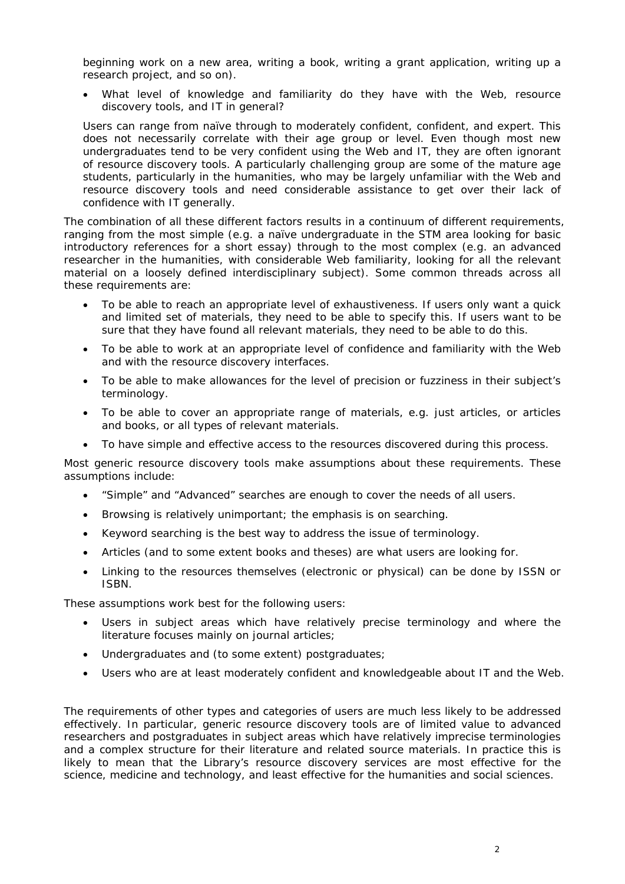beginning work on a new area, writing a book, writing a grant application, writing up a research project, and so on).

What level of knowledge and familiarity do they have with the Web, resource discovery tools, and IT in general?

Users can range from naïve through to moderately confident, confident, and expert. This does not necessarily correlate with their age group or level. Even though most new undergraduates tend to be very confident using the Web and IT, they are often ignorant of resource discovery tools. A particularly challenging group are some of the mature age students, particularly in the humanities, who may be largely unfamiliar with the Web and resource discovery tools and need considerable assistance to get over their lack of confidence with IT generally.

The combination of all these different factors results in a continuum of different requirements, ranging from the most simple (e.g. a naïve undergraduate in the STM area looking for basic introductory references for a short essay) through to the most complex (e.g. an advanced researcher in the humanities, with considerable Web familiarity, looking for all the relevant material on a loosely defined interdisciplinary subject). Some common threads across all these requirements are:

- To be able to reach an appropriate level of exhaustiveness. If users only want a quick and limited set of materials, they need to be able to specify this. If users want to be sure that they have found all relevant materials, they need to be able to do this.
- To be able to work at an appropriate level of confidence and familiarity with the Web and with the resource discovery interfaces.
- To be able to make allowances for the level of precision or fuzziness in their subject's terminology.
- To be able to cover an appropriate range of materials, e.g. just articles, or articles and books, or all types of relevant materials.
- To have simple and effective access to the resources discovered during this process.

Most generic resource discovery tools make assumptions about these requirements. These assumptions include:

- "Simple" and "Advanced" searches are enough to cover the needs of all users.
- Browsing is relatively unimportant; the emphasis is on searching.
- Keyword searching is the best way to address the issue of terminology.
- Articles (and to some extent books and theses) are what users are looking for.
- Linking to the resources themselves (electronic or physical) can be done by ISSN or ISBN.

These assumptions work best for the following users:

- Users in subject areas which have relatively precise terminology and where the literature focuses mainly on journal articles;
- Undergraduates and (to some extent) postgraduates;
- Users who are at least moderately confident and knowledgeable about IT and the Web.

The requirements of other types and categories of users are much less likely to be addressed effectively. In particular, generic resource discovery tools are of limited value to advanced researchers and postgraduates in subject areas which have relatively imprecise terminologies and a complex structure for their literature and related source materials. In practice this is likely to mean that the Library's resource discovery services are most effective for the science, medicine and technology, and least effective for the humanities and social sciences.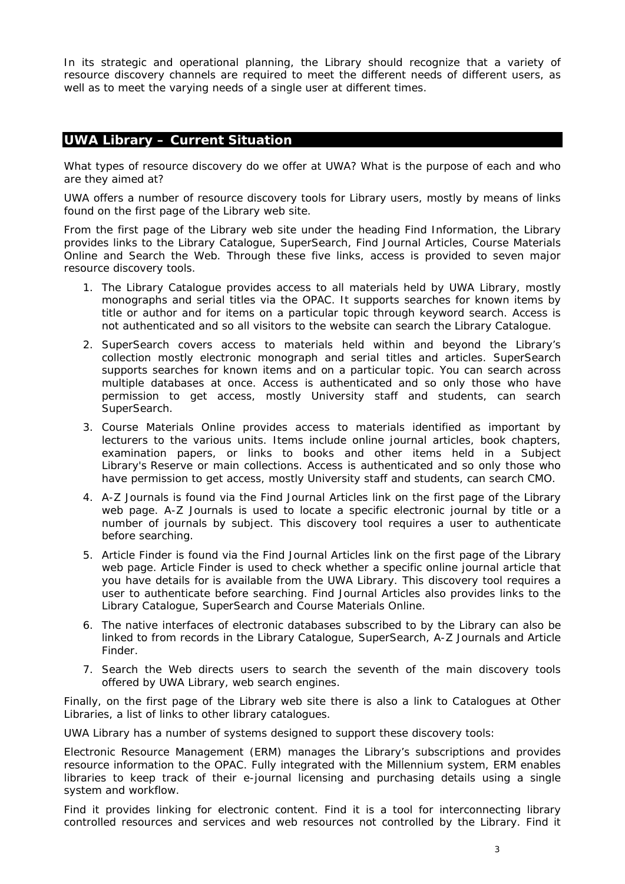In its strategic and operational planning, the Library should recognize that a variety of resource discovery channels are required to meet the different needs of different users, as well as to meet the varying needs of a single user at different times.

# **UWA Library – Current Situation**

*What types of resource discovery do we offer at UWA? What is the purpose of each and who are they aimed at?* 

UWA offers a number of resource discovery tools for Library users, mostly by means of links found on the first page of the Library web site.

From the first page of the Library web site under the heading *Find Information,* the Library provides links to the *Library Catalogue*, *SuperSearch*, *Find Journal Articles*, *Course Materials Online* and *Search the Web*. Through these five links, access is provided to seven major resource discovery tools.

- 1. The *Library Catalogue* provides access to all materials held by UWA Library, mostly monographs and serial titles via the OPAC. It supports searches for known items by title or author and for items on a particular topic through keyword search. Access is not authenticated and so all visitors to the website can search the Library Catalogue.
- 2. *SuperSearch* covers access to materials held within and beyond the Library's collection mostly electronic monograph and serial titles and articles. SuperSearch supports searches for known items and on a particular topic. You can search across multiple databases at once. Access is authenticated and so only those who have permission to get access, mostly University staff and students, can search SuperSearch.
- 3. *Course Materials Online* provides access to materials identified as important by lecturers to the various units. Items include online journal articles, book chapters, examination papers, or links to books and other items held in a Subject Library's Reserve or main collections. Access is authenticated and so only those who have permission to get access, mostly University staff and students, can search CMO.
- 4. *A-Z Journals* is found via the *Find Journal Articles* link on the first page of the Library web page. *A-Z Journals* is used to locate a specific electronic journal by title or a number of journals by subject. This discovery tool requires a user to authenticate before searching.
- 5. *Article Finder* is found via the *Find Journal Articles* link on the first page of the Library web page. *Article Finder* is used to check whether a specific online journal article that you have details for is available from the UWA Library. This discovery tool requires a user to authenticate before searching. Find Journal Articles also provides links to the *Library Catalogue*, *SuperSearch* and *Course Materials Online*.
- 6. The native interfaces of electronic databases subscribed to by the Library can also be linked to from records in the Library Catalogue, SuperSearch, A-Z Journals and Article Finder.
- 7. *Search the Web* directs users to search the seventh of the main discovery tools offered by UWA Library, web search engines.

Finally, on the first page of the Library web site there is also a link to *Catalogues at Other Libraries,* a list of links to other library catalogues.

UWA Library has a number of systems designed to support these discovery tools:

*Electronic Resource* Management (ERM) manages the Library's subscriptions and provides resource information to the OPAC. Fully integrated with the Millennium system, ERM enables libraries to keep track of their e-journal licensing and purchasing details using a single system and workflow.

*Find it* provides linking for electronic content. *Find it* is a tool for interconnecting library controlled resources and services and web resources not controlled by the Library. *Find it*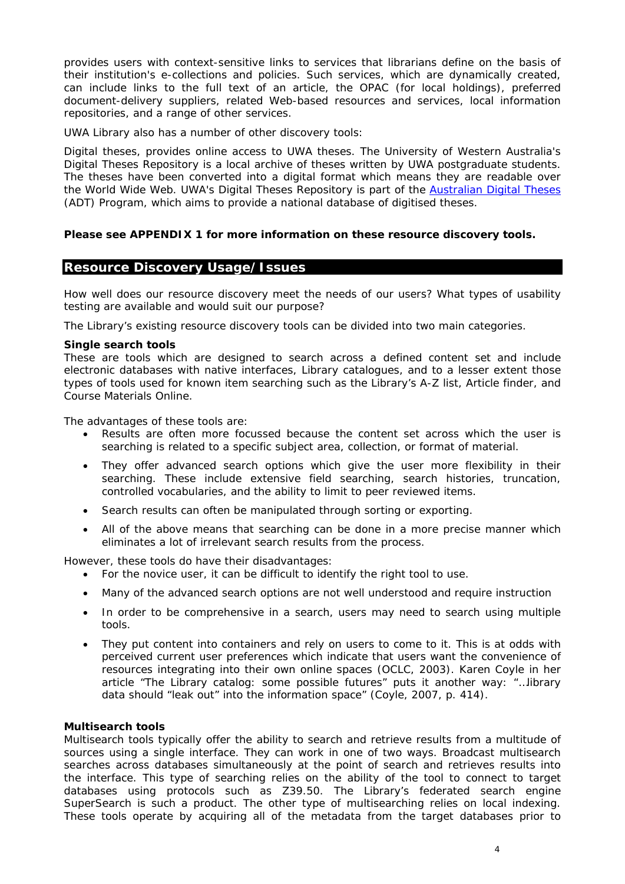provides users with context-sensitive links to services that librarians define on the basis of their institution's e-collections and policies. Such services, which are dynamically created, can include links to the full text of an article, the OPAC (for local holdings), preferred document-delivery suppliers, related Web-based resources and services, local information repositories, and a range of other services.

UWA Library also has a number of other discovery tools:

*Digital theses,* provides online access to UWA theses. The University of Western Australia's Digital Theses Repository is a local archive of theses written by UWA postgraduate students. The theses have been converted into a digital format which means they are readable over the World Wide Web. UWA's Digital Theses Repository is part of the [Australian Digital Theses](http://adt.caul.edu.au/) (ADT) Program, which aims to provide a national database of digitised theses.

#### **Please see APPENDIX 1 for more information on these resource discovery tools.**

### **Resource Discovery Usage/Issues**

*How well does our resource discovery meet the needs of our users? What types of usability testing are available and would suit our purpose?* 

The Library's existing resource discovery tools can be divided into two main categories.

#### **Single search tools**

These are tools which are designed to search across a defined content set and include electronic databases with native interfaces, Library catalogues, and to a lesser extent those types of tools used for known item searching such as the Library's A-Z list, Article finder, and Course Materials Online.

The advantages of these tools are:

- Results are often more focussed because the content set across which the user is searching is related to a specific subject area, collection, or format of material.
- They offer advanced search options which give the user more flexibility in their searching. These include extensive field searching, search histories, truncation, controlled vocabularies, and the ability to limit to peer reviewed items.
- Search results can often be manipulated through sorting or exporting.
- All of the above means that searching can be done in a more precise manner which eliminates a lot of irrelevant search results from the process.

However, these tools do have their disadvantages:

- For the novice user, it can be difficult to identify the right tool to use.
- Many of the advanced search options are not well understood and require instruction
- In order to be comprehensive in a search, users may need to search using multiple tools.
- They put content into containers and rely on users to come to it. This is at odds with perceived current user preferences which indicate that users want the convenience of resources integrating into their own online spaces (OCLC, 2003). Karen Coyle in her article "The Library catalog: some possible futures" puts it another way: "…library data should "leak out" into the information space" (Coyle, 2007, p. 414).

#### **Multisearch tools**

Multisearch tools typically offer the ability to search and retrieve results from a multitude of sources using a single interface. They can work in one of two ways. Broadcast multisearch searches across databases simultaneously at the point of search and retrieves results into the interface. This type of searching relies on the ability of the tool to connect to target databases using protocols such as Z39.50. The Library's federated search engine SuperSearch is such a product. The other type of multisearching relies on local indexing. These tools operate by acquiring all of the metadata from the target databases prior to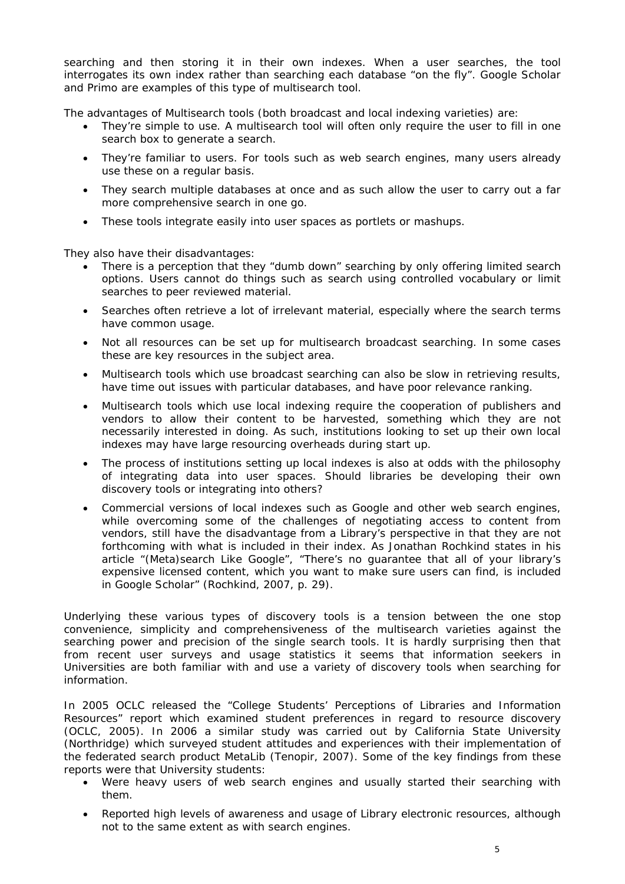searching and then storing it in their own indexes. When a user searches, the tool interrogates its own index rather than searching each database "on the fly". Google Scholar and Primo are examples of this type of multisearch tool.

The advantages of Multisearch tools (both broadcast and local indexing varieties) are:

- They're simple to use. A multisearch tool will often only require the user to fill in one search box to generate a search.
- They're familiar to users. For tools such as web search engines, many users already use these on a regular basis.
- They search multiple databases at once and as such allow the user to carry out a far more comprehensive search in one go.
- These tools integrate easily into user spaces as portlets or mashups.

They also have their disadvantages:

- There is a perception that they "dumb down" searching by only offering limited search options. Users cannot do things such as search using controlled vocabulary or limit searches to peer reviewed material.
- Searches often retrieve a lot of irrelevant material, especially where the search terms have common usage.
- Not all resources can be set up for multisearch broadcast searching. In some cases these are key resources in the subject area.
- Multisearch tools which use broadcast searching can also be slow in retrieving results, have time out issues with particular databases, and have poor relevance ranking.
- Multisearch tools which use local indexing require the cooperation of publishers and vendors to allow their content to be harvested, something which they are not necessarily interested in doing. As such, institutions looking to set up their own local indexes may have large resourcing overheads during start up.
- The process of institutions setting up local indexes is also at odds with the philosophy of integrating data into user spaces. Should libraries be developing their own discovery tools or integrating into others?
- Commercial versions of local indexes such as Google and other web search engines, while overcoming some of the challenges of negotiating access to content from vendors, still have the disadvantage from a Library's perspective in that they are not forthcoming with what is included in their index. As Jonathan Rochkind states in his article "(Meta)search Like Google", "There's no guarantee that all of your library's expensive licensed content, which you want to make sure users can find, is included in Google Scholar" (Rochkind, 2007, p. 29).

Underlying these various types of discovery tools is a tension between the one stop convenience, simplicity and comprehensiveness of the multisearch varieties against the searching power and precision of the single search tools. It is hardly surprising then that from recent user surveys and usage statistics it seems that information seekers in Universities are both familiar with and use a variety of discovery tools when searching for information.

In 2005 OCLC released the "College Students' Perceptions of Libraries and Information Resources" report which examined student preferences in regard to resource discovery (OCLC, 2005). In 2006 a similar study was carried out by California State University (Northridge) which surveyed student attitudes and experiences with their implementation of the federated search product MetaLib (Tenopir, 2007). Some of the key findings from these reports were that University students:

- Were heavy users of web search engines and usually started their searching with them.
- Reported high levels of awareness and usage of Library electronic resources, although not to the same extent as with search engines.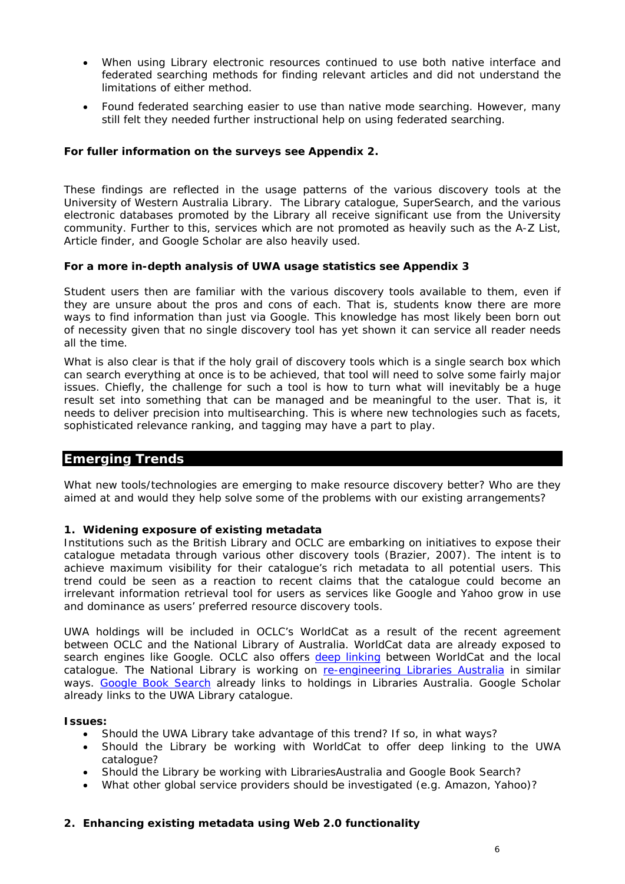- When using Library electronic resources continued to use both native interface and federated searching methods for finding relevant articles and did not understand the limitations of either method.
- Found federated searching easier to use than native mode searching. However, many still felt they needed further instructional help on using federated searching.

### **For fuller information on the surveys see Appendix 2.**

These findings are reflected in the usage patterns of the various discovery tools at the University of Western Australia Library. The Library catalogue, SuperSearch, and the various electronic databases promoted by the Library all receive significant use from the University community. Further to this, services which are not promoted as heavily such as the A-Z List, Article finder, and Google Scholar are also heavily used.

#### **For a more in-depth analysis of UWA usage statistics see Appendix 3**

Student users then are familiar with the various discovery tools available to them, even if they are unsure about the pros and cons of each. That is, students know there are more ways to find information than just via Google. This knowledge has most likely been born out of necessity given that no single discovery tool has yet shown it can service all reader needs all the time.

What is also clear is that if the holy grail of discovery tools which is a single search box which can search everything at once is to be achieved, that tool will need to solve some fairly major issues. Chiefly, the challenge for such a tool is how to turn what will inevitably be a huge result set into something that can be managed and be meaningful to the user. That is, it needs to deliver precision into multisearching. This is where new technologies such as facets, sophisticated relevance ranking, and tagging may have a part to play.

# **Emerging Trends**

*What new tools/technologies are emerging to make resource discovery better? Who are they aimed at and would they help solve some of the problems with our existing arrangements?* 

#### **1. Widening exposure of existing metadata**

Institutions such as the British Library and OCLC are embarking on initiatives to expose their catalogue metadata through various other discovery tools (Brazier, 2007). The intent is to achieve maximum visibility for their catalogue's rich metadata to all potential users. This trend could be seen as a reaction to recent claims that the catalogue could become an irrelevant information retrieval tool for users as services like Google and Yahoo grow in use and dominance as users' preferred resource discovery tools.

UWA holdings will be included in OCLC's WorldCat as a result of the recent agreement between OCLC and the National Library of Australia. WorldCat data are already exposed to search engines like Google. OCLC also offers [deep linking](http://www.oclc.org/worldcat/linking/deeplinking/default.htm) between WorldCat and the local catalogue. The National Library is working on [re-engineering Libraries Australia](http://ll01.nla.gov.au/) in similar ways. [Google Book Search](http://books.google.com/) already links to holdings in Libraries Australia. Google Scholar already links to the UWA Library catalogue.

#### **Issues:**

- Should the UWA Library take advantage of this trend? If so, in what ways?
- Should the Library be working with WorldCat to offer deep linking to the UWA catalogue?
- Should the Library be working with LibrariesAustralia and Google Book Search?
- What other global service providers should be investigated (e.g. Amazon, Yahoo)?

# **2. Enhancing existing metadata using Web 2.0 functionality**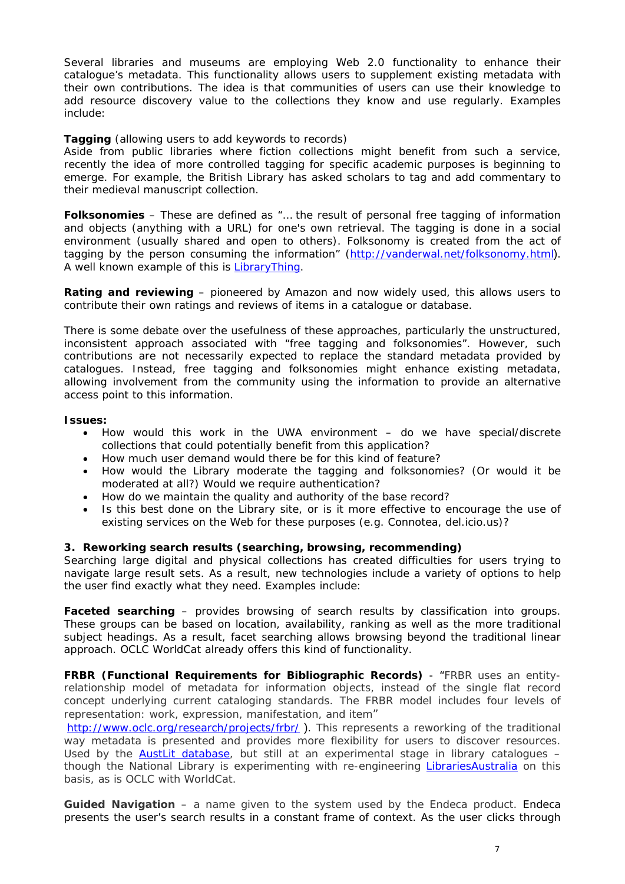Several libraries and museums are employing Web 2.0 functionality to enhance their catalogue's metadata. This functionality allows users to supplement existing metadata with their own contributions. The idea is that communities of users can use their knowledge to add resource discovery value to the collections they know and use regularly. Examples include:

### **Tagging** (allowing users to add keywords to records)

Aside from public libraries where fiction collections might benefit from such a service, recently the idea of more controlled tagging for specific academic purposes is beginning to emerge. For example, the British Library has asked scholars to tag and add commentary to their medieval manuscript collection.

**Folksonomies** – These are defined as "… the result of personal free tagging of information and objects (anything with a URL) for one's own retrieval. The tagging is done in a social environment (usually shared and open to others). Folksonomy is created from the act of tagging by the person consuming the information" (<http://vanderwal.net/folksonomy.html>). A well known example of this is [LibraryThing](http://www.librarything.com/).

**Rating and reviewing** – pioneered by Amazon and now widely used, this allows users to contribute their own ratings and reviews of items in a catalogue or database.

There is some debate over the usefulness of these approaches, particularly the unstructured, inconsistent approach associated with "free tagging and folksonomies". However, such contributions are not necessarily expected to replace the standard metadata provided by catalogues. Instead, free tagging and folksonomies might enhance existing metadata, allowing involvement from the community using the information to provide an alternative access point to this information.

#### **Issues:**

- How would this work in the UWA environment do we have special/discrete collections that could potentially benefit from this application?
- How much user demand would there be for this kind of feature?
- How would the Library moderate the tagging and folksonomies? (Or would it be moderated at all?) Would we require authentication?
- How do we maintain the quality and authority of the base record?
- Is this best done on the Library site, or is it more effective to encourage the use of existing services on the Web for these purposes (e.g. Connotea, del.icio.us)?

#### **3. Reworking search results (searching, browsing, recommending)**

Searching large digital and physical collections has created difficulties for users trying to navigate large result sets. As a result, new technologies include a variety of options to help the user find exactly what they need. Examples include:

Faceted searching - provides browsing of search results by classification into groups. These groups can be based on location, availability, ranking as well as the more traditional subject headings. As a result, facet searching allows browsing beyond the traditional linear approach. OCLC WorldCat already offers this kind of functionality.

**FRBR (Functional Requirements for Bibliographic Records)** - "FRBR uses an entityrelationship model of metadata for information objects, instead of the single flat record concept underlying current cataloging standards. The FRBR model includes four levels of representation: work, expression, manifestation, and item"

<http://www.oclc.org/research/projects/frbr/> ). This represents a reworking of the traditional way metadata is presented and provides more flexibility for users to discover resources. Used by the [AustLit database,](http://www.austlit.edu.au/) but still at an experimental stage in library catalogues – though the National Library is experimenting with re-engineering [LibrariesAustralia](http://ll01.nla.gov.au/) on this basis, as is OCLC with WorldCat.

**Guided Navigation** – a name given to the system used by the Endeca product. Endeca presents the user's search results in a constant frame of context. As the user clicks through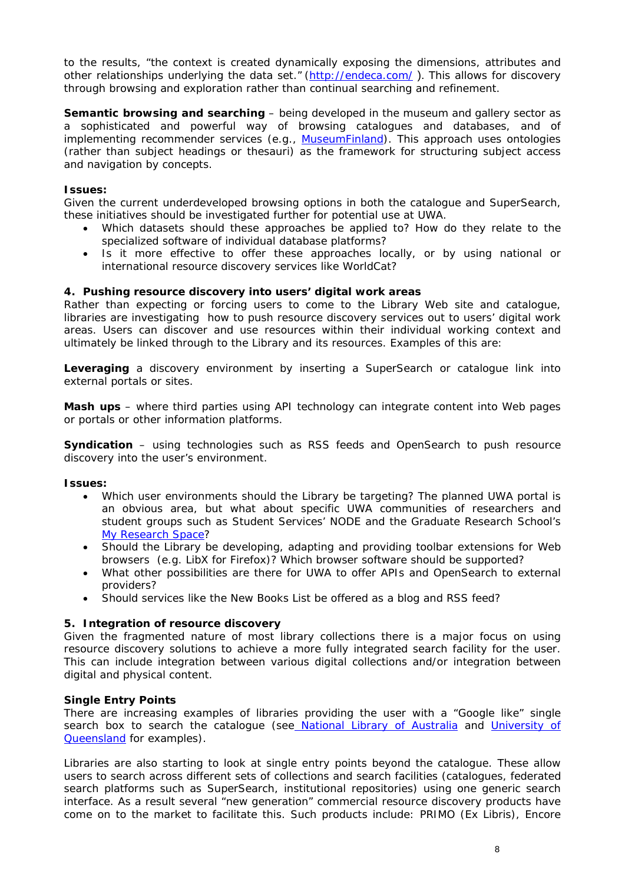to the results, "the context is created dynamically exposing the dimensions, attributes and other relationships underlying the data set." (<http://endeca.com/> ). This allows for discovery through browsing and exploration rather than continual searching and refinement.

**Semantic browsing and searching** – being developed in the museum and gallery sector as a sophisticated and powerful way of browsing catalogues and databases, and of implementing recommender services (e.g., [MuseumFinland](http://www.museosuomi.fi/)). This approach uses ontologies (rather than subject headings or thesauri) as the framework for structuring subject access and navigation by concepts.

### **Issues:**

Given the current underdeveloped browsing options in both the catalogue and SuperSearch, these initiatives should be investigated further for potential use at UWA.

- Which datasets should these approaches be applied to? How do they relate to the specialized software of individual database platforms?
- Is it more effective to offer these approaches locally, or by using national or international resource discovery services like WorldCat?

### **4. Pushing resource discovery into users' digital work areas**

Rather than expecting or forcing users to come to the Library Web site and catalogue, libraries are investigating how to push resource discovery services out to users' digital work areas. Users can discover and use resources within their individual working context and ultimately be linked through to the Library and its resources. Examples of this are:

**Leveraging** a discovery environment by inserting a SuperSearch or catalogue link into external portals or sites.

**Mash ups** – where third parties using API technology can integrate content into Web pages or portals or other information platforms.

**Syndication** – using technologies such as RSS feeds and OpenSearch to push resource discovery into the user's environment.

#### **Issues:**

- Which user environments should the Library be targeting? The planned UWA portal is an obvious area, but what about specific UWA communities of researchers and student groups such as Student Services' NODE and the Graduate Research School's [My Research Space?](http://myresearchspace.grs.uwa.edu.au/)
- Should the Library be developing, adapting and providing toolbar extensions for Web browsers (e.g. LibX for Firefox)? Which browser software should be supported?
- What other possibilities are there for UWA to offer APIs and OpenSearch to external providers?
- Should services like the New Books List be offered as a blog and RSS feed?

#### **5. Integration of resource discovery**

Given the fragmented nature of most library collections there is a major focus on using resource discovery solutions to achieve a more fully integrated search facility for the user. This can include integration between various digital collections and/or integration between digital and physical content.

#### **Single Entry Points**

There are increasing examples of libraries providing the user with a "Google like" single search box to search the catalogue (se[e National Library of Australia](http://catalogue.nla.gov.au/cgi-bin/Pwebrecon.cgi?DB=local&PAGE=First) and University of [Queensland](http://www.library.uq.edu.au/) for examples).

Libraries are also starting to look at single entry points beyond the catalogue. These allow users to search across different sets of collections and search facilities (catalogues, federated search platforms such as SuperSearch, institutional repositories) using one generic search interface. As a result several "new generation" commercial resource discovery products have come on to the market to facilitate this. Such products include: PRIMO (Ex Libris), Encore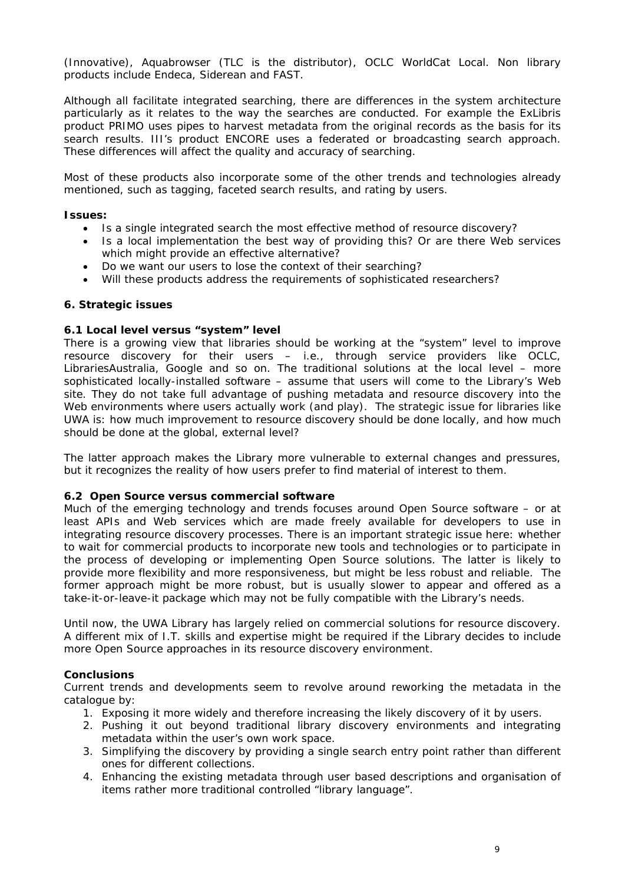(Innovative), Aquabrowser (TLC is the distributor), OCLC WorldCat Local. Non library products include Endeca, Siderean and FAST.

Although all facilitate integrated searching, there are differences in the system architecture particularly as it relates to the way the searches are conducted. For example the ExLibris product PRIMO uses pipes to harvest metadata from the original records as the basis for its search results. III's product ENCORE uses a federated or broadcasting search approach. These differences will affect the quality and accuracy of searching.

Most of these products also incorporate some of the other trends and technologies already mentioned, such as tagging, faceted search results, and rating by users.

#### **Issues:**

- Is a single integrated search the most effective method of resource discovery?
- Is a local implementation the best way of providing this? Or are there Web services which might provide an effective alternative?
- Do we want our users to lose the context of their searching?
- Will these products address the requirements of sophisticated researchers?

#### **6. Strategic issues**

#### **6.1 Local level versus "system" level**

There is a growing view that libraries should be working at the "system" level to improve resource discovery for their users – i.e., through service providers like OCLC, LibrariesAustralia, Google and so on. The traditional solutions at the local level – more sophisticated locally-installed software – assume that users will come to the Library's Web site. They do not take full advantage of pushing metadata and resource discovery into the Web environments where users actually work (and play). The strategic issue for libraries like UWA is: how much improvement to resource discovery should be done locally, and how much should be done at the global, external level?

The latter approach makes the Library more vulnerable to external changes and pressures, but it recognizes the reality of how users prefer to find material of interest to them.

#### **6.2 Open Source versus commercial software**

Much of the emerging technology and trends focuses around Open Source software – or at least APIs and Web services which are made freely available for developers to use in integrating resource discovery processes. There is an important strategic issue here: whether to wait for commercial products to incorporate new tools and technologies or to participate in the process of developing or implementing Open Source solutions. The latter is likely to provide more flexibility and more responsiveness, but might be less robust and reliable. The former approach might be more robust, but is usually slower to appear and offered as a take-it-or-leave-it package which may not be fully compatible with the Library's needs.

Until now, the UWA Library has largely relied on commercial solutions for resource discovery. A different mix of I.T. skills and expertise might be required if the Library decides to include more Open Source approaches in its resource discovery environment.

#### **Conclusions**

Current trends and developments seem to revolve around reworking the metadata in the catalogue by:

- 1. Exposing it more widely and therefore increasing the likely discovery of it by users.
- 2. Pushing it out beyond traditional library discovery environments and integrating metadata within the user's own work space.
- 3. Simplifying the discovery by providing a single search entry point rather than different ones for different collections.
- 4. Enhancing the existing metadata through user based descriptions and organisation of items rather more traditional controlled "library language".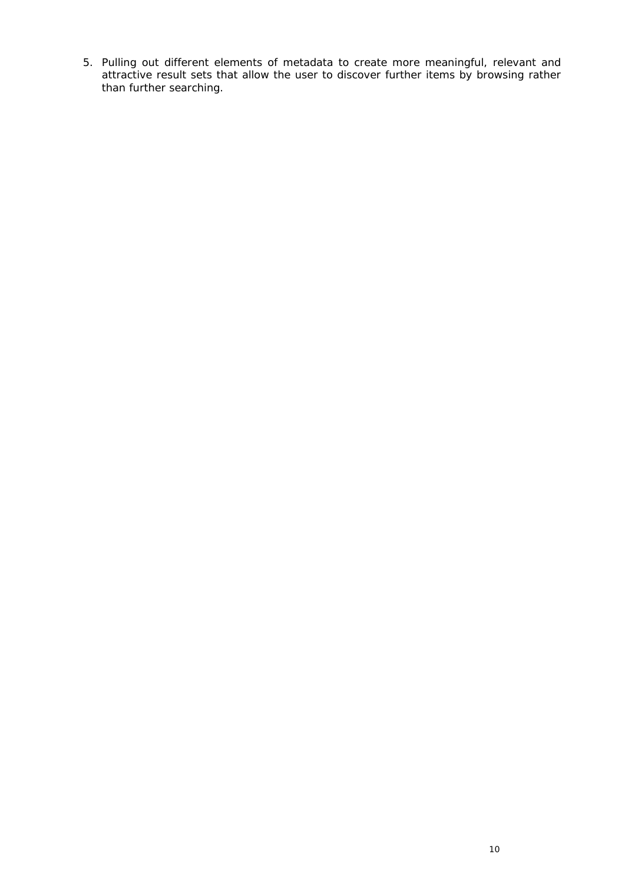5. Pulling out different elements of metadata to create more meaningful, relevant and attractive result sets that allow the user to discover further items by browsing rather than further searching.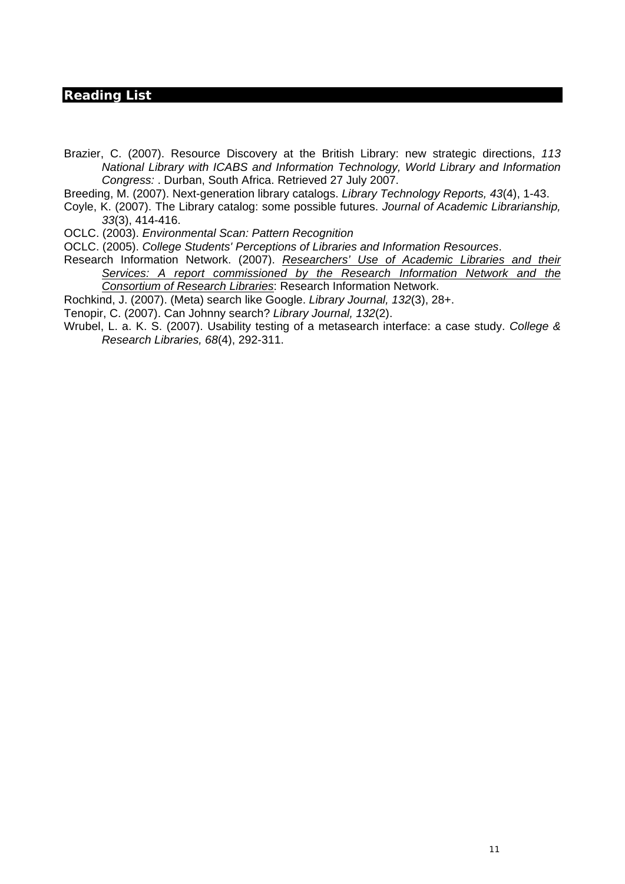# **Reading List**

Brazier, C. (2007). Resource Discovery at the British Library: new strategic directions, *113 National Library with ICABS and Information Technology, World Library and Information Congress:* . Durban, South Africa. Retrieved 27 July 2007.

Breeding, M. (2007). Next-generation library catalogs. *Library Technology Reports, 43*(4), 1-43.

Coyle, K. (2007). The Library catalog: some possible futures. *Journal of Academic Librarianship, 33*(3), 414-416.

OCLC. (2003). *Environmental Scan: Pattern Recognition* 

OCLC. (2005). *College Students' Perceptions of Libraries and Information Resources*.

Research Information Network. (2007). *Researchers' Use of Academic Libraries and their Services: A report commissioned by the Research Information Network and the Consortium of Research Libraries*: Research Information Network.

Rochkind, J. (2007). (Meta) search like Google. *Library Journal, 132*(3), 28+.

Tenopir, C. (2007). Can Johnny search? *Library Journal, 132*(2).

Wrubel, L. a. K. S. (2007). Usability testing of a metasearch interface: a case study. *College & Research Libraries, 68*(4), 292-311.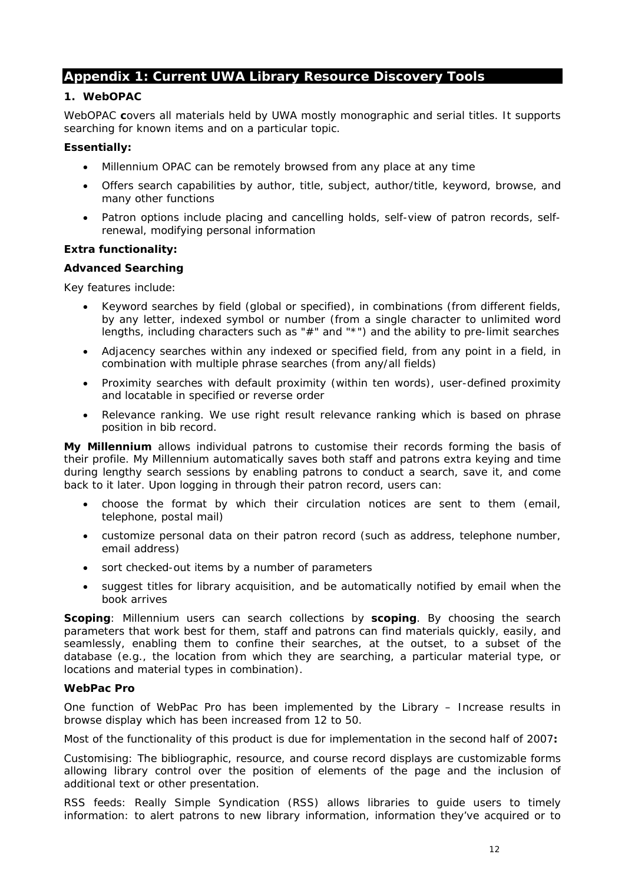# **Appendix 1: Current UWA Library Resource Discovery Tools**

### **1. WebOPAC**

WebOPAC **c**overs all materials held by UWA mostly monographic and serial titles. It supports searching for known items and on a particular topic.

#### **Essentially:**

- Millennium OPAC can be remotely browsed from any place at any time
- Offers search capabilities by author, title, subject, author/title, keyword, browse, and many other functions
- Patron options include placing and cancelling holds, self-view of patron records, selfrenewal, modifying personal information

#### **Extra functionality:**

#### **Advanced Searching**

Key features include:

- Keyword searches by field (global or specified), in combinations (from different fields, by any letter, indexed symbol or number (from a single character to unlimited word lengths, including characters such as "#" and "\*") and the ability to pre-limit searches
- Adjacency searches within any indexed or specified field, from any point in a field, in combination with multiple phrase searches (from any/all fields)
- Proximity searches with default proximity (within ten words), user-defined proximity and locatable in specified or reverse order
- Relevance ranking. We use right result relevance ranking which is based on phrase position in bib record.

**My Millennium** allows individual patrons to customise their records forming the basis of their profile. My Millennium automatically saves both staff and patrons extra keying and time during lengthy search sessions by enabling patrons to conduct a search, save it, and come back to it later. Upon logging in through their patron record, users can:

- choose the format by which their circulation notices are sent to them (email, telephone, postal mail)
- customize personal data on their patron record (such as address, telephone number, email address)
- sort checked-out items by a number of parameters
- suggest titles for library acquisition, and be automatically notified by email when the book arrives

**Scoping**: Millennium users can search collections by **scoping**. By choosing the search parameters that work best for them, staff and patrons can find materials quickly, easily, and seamlessly, enabling them to confine their searches, at the outset, to a subset of the database (*e.g.*, the location from which they are searching, a particular material type, or locations and material types in combination).

### **WebPac Pro**

One function of WebPac Pro has been implemented by the Library – Increase results in browse display which has been increased from 12 to 50.

Most of the functionality of this product is due for implementation in the second half of 2007**:** 

Customising: The bibliographic, resource, and course record displays are customizable forms allowing library control over the position of elements of the page and the inclusion of additional text or other presentation.

RSS feeds: Really Simple Syndication (RSS) allows libraries to guide users to timely information: to alert patrons to new library information, information they've acquired or to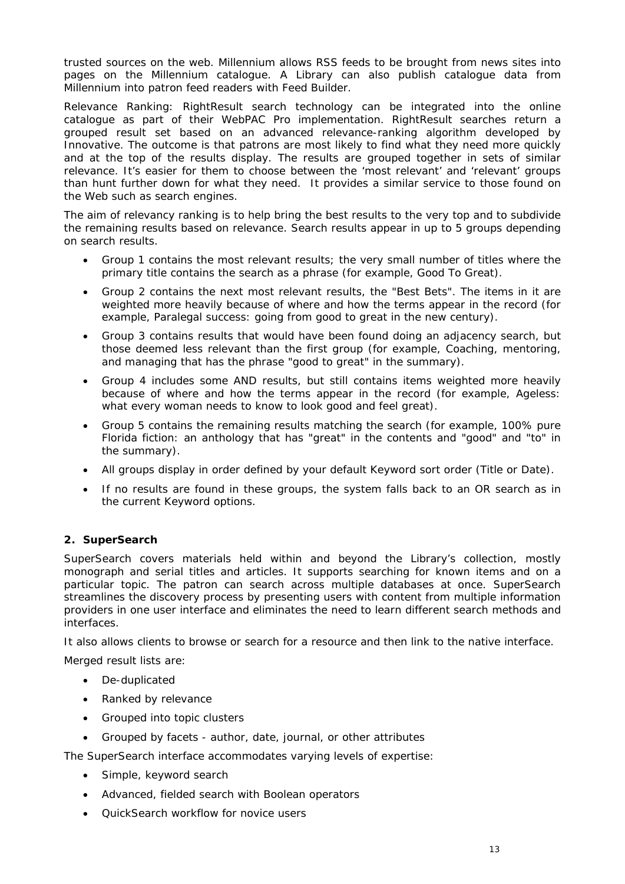trusted sources on the web. Millennium allows RSS feeds to be brought from news sites into pages on the Millennium catalogue. A Library can also publish catalogue data from Millennium into patron feed readers with Feed Builder.

Relevance Ranking: RightResult search technology can be integrated into the online catalogue as part of their WebPAC Pro implementation. RightResult searches return a grouped result set based on an advanced relevance-ranking algorithm developed by Innovative. The outcome is that patrons are most likely to find what they need more quickly and at the top of the results display. The results are grouped together in sets of similar relevance. It's easier for them to choose between the 'most relevant' and 'relevant' groups than hunt further down for what they need. It provides a similar service to those found on the Web such as search engines.

The aim of relevancy ranking is to help bring the best results to the very top and to subdivide the remaining results based on relevance. Search results appear in up to 5 groups depending on search results.

- Group 1 contains the most relevant results; the very small number of titles where the primary title contains the search as a phrase (for example, *Good To Great*).
- Group 2 contains the next most relevant results, the "Best Bets". The items in it are weighted more heavily because of where and how the terms appear in the record (for example, *Paralegal success: going from good to great in the new century*).
- Group 3 contains results that would have been found doing an adjacency search, but those deemed less relevant than the first group (for example, *Coaching, mentoring, and managing* that has the phrase "good to great" in the summary).
- Group 4 includes some AND results, but still contains items weighted more heavily because of where and how the terms appear in the record (for example, *Ageless: what every woman needs to know to look good and feel great*).
- Group 5 contains the remaining results matching the search (for example, *100% pure Florida fiction: an anthology* that has "great" in the contents and "good" and "to" in the summary).
- All groups display in order defined by your default Keyword sort order (Title or Date).
- If no results are found in these groups, the system falls back to an OR search as in the current Keyword options.

# **2. SuperSearch**

*SuperSearch* covers materials held within and beyond the Library's collection, mostly monograph and serial titles and articles. It supports searching for known items and on a particular topic. The patron can search across multiple databases at once. *SuperSearch*  streamlines the discovery process by presenting users with content from multiple information providers in one user interface and eliminates the need to learn different search methods and interfaces.

It also allows clients to browse or search for a resource and then link to the native interface.

Merged result lists are:

- De-duplicated
- Ranked by relevance
- Grouped into topic clusters
- Grouped by facets author, date, journal, or other attributes

The *SuperSearch* interface accommodates varying levels of expertise:

- Simple, keyword search
- Advanced, fielded search with Boolean operators
- QuickSearch workflow for novice users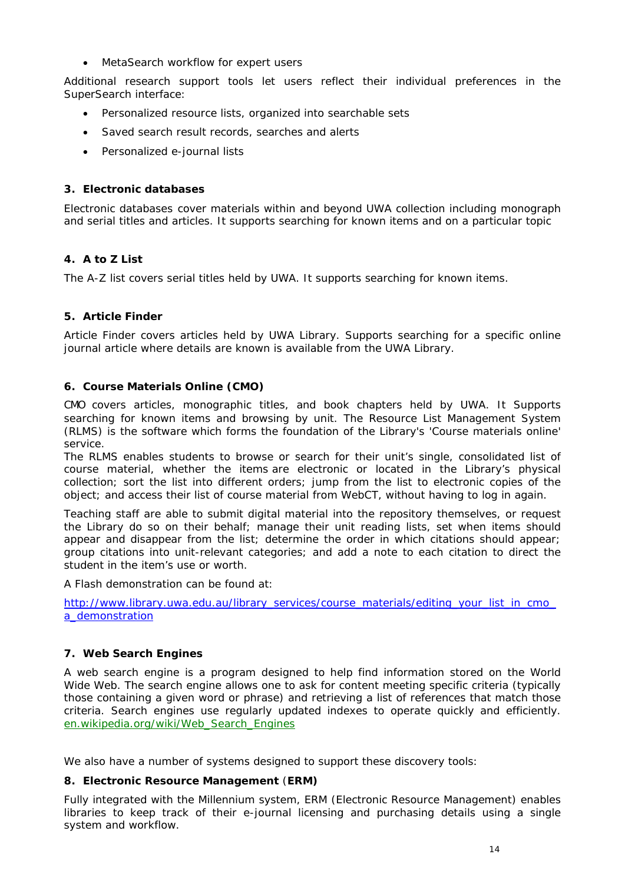• MetaSearch workflow for expert users

Additional research support tools let users reflect their individual preferences in the *SuperSearch* interface:

- Personalized resource lists, organized into searchable sets
- Saved search result records, searches and alerts
- Personalized e-journal lists

# **3. Electronic databases**

Electronic databases cover materials within and beyond UWA collection including monograph and serial titles and articles. It supports searching for known items and on a particular topic

# **4. A to Z List**

The A-Z list covers serial titles held by UWA. It supports searching for known items.

# **5. Article Finder**

Article Finder covers articles held by UWA Library. Supports searching for a specific online journal article where details are known is available from the UWA Library.

# **6. Course Materials Online (CMO)**

CMO covers articles, monographic titles, and book chapters held by UWA. It Supports searching for known items and browsing by unit. The Resource List Management System (RLMS) is the software which forms the foundation of the Library's 'Course materials online' service.

The RLMS enables students to browse or search for their unit's single, consolidated list of course material, whether the items are electronic or located in the Library's physical collection; sort the list into different orders; jump from the list to electronic copies of the object; and access their list of course material from WebCT, without having to log in again.

Teaching staff are able to submit digital material into the repository themselves, or request the Library do so on their behalf; manage their unit reading lists, set when items should appear and disappear from the list; determine the order in which citations should appear; group citations into unit-relevant categories; and add a note to each citation to direct the student in the item's use or worth.

A Flash demonstration can be found at:

http://www.library.uwa.edu.au/library\_services/course\_materials/editing\_your\_list\_in\_cmo [a\\_demonstration](http://www.library.uwa.edu.au/library_services/course_materials/editing_your_list_in_cmo_a_demonstration)

# **7. Web Search Engines**

A web search engine is a program designed to help find information stored on the World Wide Web. The search engine allows one to ask for content meeting specific criteria (typically those containing a given word or phrase) and retrieving a list of references that match those criteria. Search engines use regularly updated indexes to operate quickly and efficiently. [en.wikipedia.org/wiki/Web\\_Search\\_Engines](http://www.google.com.au/url?sa=X&start=0&oi=define&ei=2EJVRq7BGJ-GhQOLvujZDw&sig2=gDNYIuB5h4mL549tL-00JA&q=http://en.wikipedia.org/wiki/Web_Search_Engines&usg=AFrqEzezk14iyfMUczwlCHf_zAZv7HOB0A)

We also have a number of systems designed to support these discovery tools:

# **8. Electronic Resource Management** (**ERM)**

Fully integrated with the Millennium system, ERM (Electronic Resource Management) enables libraries to keep track of their e-journal licensing and purchasing details using a single system and workflow.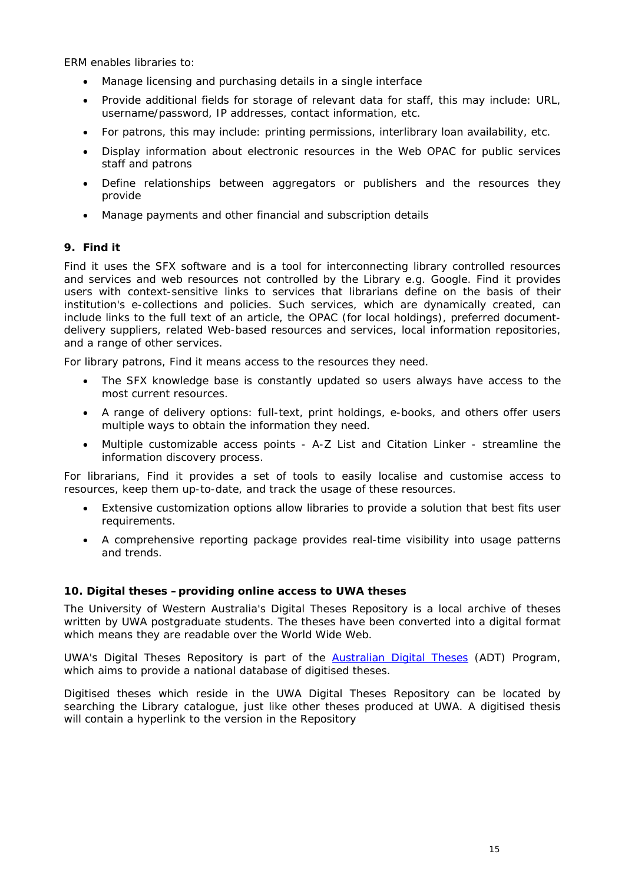ERM enables libraries to:

- Manage licensing and purchasing details in a single interface
- Provide additional fields for storage of relevant data for staff, this may include: URL, username/password, IP addresses, contact information, etc.
- For patrons, this may include: printing permissions, interlibrary loan availability, etc.
- Display information about electronic resources in the Web OPAC for public services staff and patrons
- Define relationships between aggregators or publishers and the resources they provide
- Manage payments and other financial and subscription details

# **9. Find it**

*Find it* uses the SFX software and is a tool for interconnecting library controlled resources and services and web resources not controlled by the Library e.g. Google. *Find it* provides users with context-sensitive links to services that librarians define on the basis of their institution's e-collections and policies. Such services, which are dynamically created, can include links to the full text of an article, the OPAC (for local holdings), preferred documentdelivery suppliers, related Web-based resources and services, local information repositories, and a range of other services.

For library patrons, *Find it* means access to the resources they need.

- The SFX knowledge base is constantly updated so users always have access to the most current resources.
- A range of delivery options: full-text, print holdings, e-books, and others offer users multiple ways to obtain the information they need.
- Multiple customizable access points A-Z List and Citation Linker streamline the information discovery process.

For librarians, *Find it* provides a set of tools to easily localise and customise access to resources, keep them up-to-date, and track the usage of these resources.

- Extensive customization options allow libraries to provide a solution that best fits user requirements.
- A comprehensive reporting package provides real-time visibility into usage patterns and trends.

# **10. Digital theses –providing online access to UWA theses**

The University of Western Australia's Digital Theses Repository is a local archive of theses written by UWA postgraduate students. The theses have been converted into a digital format which means they are readable over the World Wide Web.

UWA's Digital Theses Repository is part of the [Australian Digital Theses](http://adt.caul.edu.au/) (ADT) Program, which aims to provide a national database of digitised theses.

Digitised theses which reside in the UWA Digital Theses Repository can be located by searching the Library catalogue, just like other theses produced at UWA. A digitised thesis will contain a hyperlink to the version in the Repository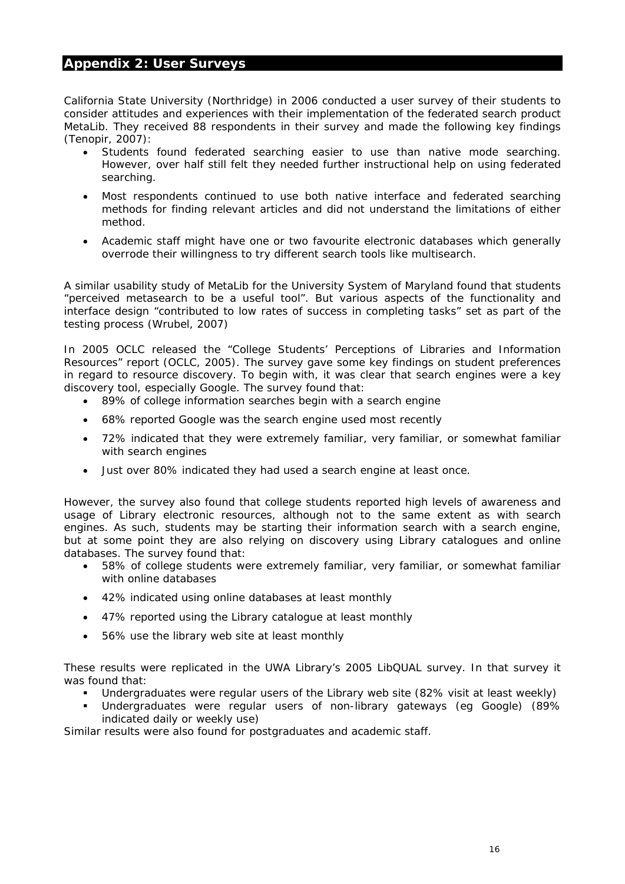# **Appendix 2: User Surveys**

California State University (Northridge) in 2006 conducted a user survey of their students to consider attitudes and experiences with their implementation of the federated search product MetaLib. They received 88 respondents in their survey and made the following key findings (Tenopir, 2007):

- Students found federated searching easier to use than native mode searching. However, over half still felt they needed further instructional help on using federated searching.
- Most respondents continued to use both native interface and federated searching methods for finding relevant articles and did not understand the limitations of either method.
- Academic staff might have one or two favourite electronic databases which generally overrode their willingness to try different search tools like multisearch.

A similar usability study of MetaLib for the University System of Maryland found that students "perceived metasearch to be a useful tool". But various aspects of the functionality and interface design "contributed to low rates of success in completing tasks" set as part of the testing process (Wrubel, 2007)

In 2005 OCLC released the "College Students' Perceptions of Libraries and Information Resources" report (OCLC, 2005). The survey gave some key findings on student preferences in regard to resource discovery. To begin with, it was clear that search engines were a key discovery tool, especially Google. The survey found that:

- 89% of college information searches begin with a search engine
- 68% reported Google was the search engine used most recently
- 72% indicated that they were extremely familiar, very familiar, or somewhat familiar with search engines
- Just over 80% indicated they had used a search engine at least once.

However, the survey also found that college students reported high levels of awareness and usage of Library electronic resources, although not to the same extent as with search engines. As such, students may be starting their information search with a search engine, but at some point they are also relying on discovery using Library catalogues and online databases. The survey found that:

- 58% of college students were extremely familiar, very familiar, or somewhat familiar with online databases
- 42% indicated using online databases at least monthly
- 47% reported using the Library catalogue at least monthly
- 56% use the library web site at least monthly

These results were replicated in the UWA Library's 2005 LibQUAL survey. In that survey it was found that:

- Undergraduates were regular users of the Library web site (82% visit at least weekly)
- Undergraduates were regular users of non-library gateways (eg Google) (89% indicated daily or weekly use)

Similar results were also found for postgraduates and academic staff.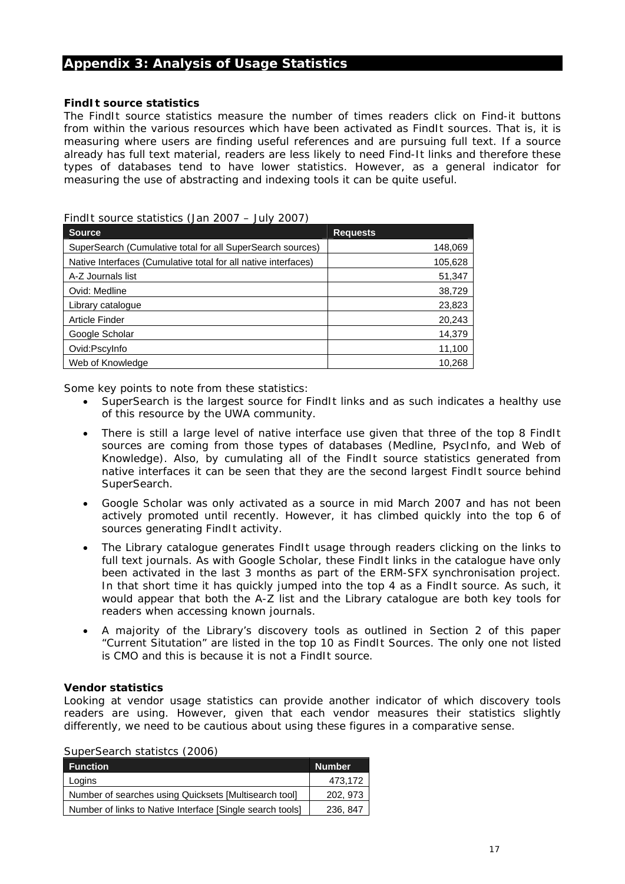# **Appendix 3: Analysis of Usage Statistics**

#### **FindIt source statistics**

The FindIt source statistics measure the number of times readers click on Find-it buttons from within the various resources which have been activated as FindIt sources. That is, it is measuring where users are finding useful references and are pursuing full text. If a source already has full text material, readers are less likely to need Find-It links and therefore these types of databases tend to have lower statistics. However, as a general indicator for measuring the use of abstracting and indexing tools it can be quite useful.

| $\frac{1}{2}$ . That sounds statistics to the EUC $\frac{1}{2}$<br>JUIY 4077 |                 |  |
|------------------------------------------------------------------------------|-----------------|--|
| <b>Source</b>                                                                | <b>Requests</b> |  |
| SuperSearch (Cumulative total for all SuperSearch sources)                   | 148,069         |  |
| Native Interfaces (Cumulative total for all native interfaces)               | 105,628         |  |
| A-Z Journals list                                                            | 51,347          |  |
| Ovid: Medline                                                                | 38,729          |  |
| Library catalogue                                                            | 23,823          |  |
| Article Finder                                                               | 20,243          |  |
| Google Scholar                                                               | 14,379          |  |
| Ovid:Pscylnfo                                                                | 11,100          |  |
| Web of Knowledge                                                             | 10,268          |  |

### FindIt source statistics (Jan 2007 – July 2007)

Some key points to note from these statistics:

- SuperSearch is the largest source for FindIt links and as such indicates a healthy use of this resource by the UWA community.
- There is still a large level of native interface use given that three of the top 8 FindIt sources are coming from those types of databases (Medline, PsycInfo, and Web of Knowledge). Also, by cumulating all of the FindIt source statistics generated from native interfaces it can be seen that they are the second largest FindIt source behind SuperSearch.
- Google Scholar was only activated as a source in mid March 2007 and has not been actively promoted until recently. However, it has climbed quickly into the top 6 of sources generating FindIt activity.
- The Library catalogue generates FindIt usage through readers clicking on the links to full text journals. As with Google Scholar, these FindIt links in the catalogue have only been activated in the last 3 months as part of the ERM-SFX synchronisation project. In that short time it has quickly jumped into the top 4 as a FindIt source. As such, it would appear that both the A-Z list and the Library catalogue are both key tools for readers when accessing known journals.
- A majority of the Library's discovery tools as outlined in Section 2 of this paper "Current Situtation" are listed in the top 10 as FindIt Sources. The only one not listed is CMO and this is because it is not a FindIt source.

#### **Vendor statistics**

Looking at vendor usage statistics can provide another indicator of which discovery tools readers are using. However, given that each vendor measures their statistics slightly differently, we need to be cautious about using these figures in a comparative sense.

|  | SuperSearch statistcs (2006) |  |
|--|------------------------------|--|
|--|------------------------------|--|

| <b>Function</b>                                           | <b>Number</b> |  |
|-----------------------------------------------------------|---------------|--|
| Logins                                                    | 473,172       |  |
| Number of searches using Quicksets [Multisearch tool]     | 202, 973      |  |
| Number of links to Native Interface [Single search tools] | 236, 847      |  |